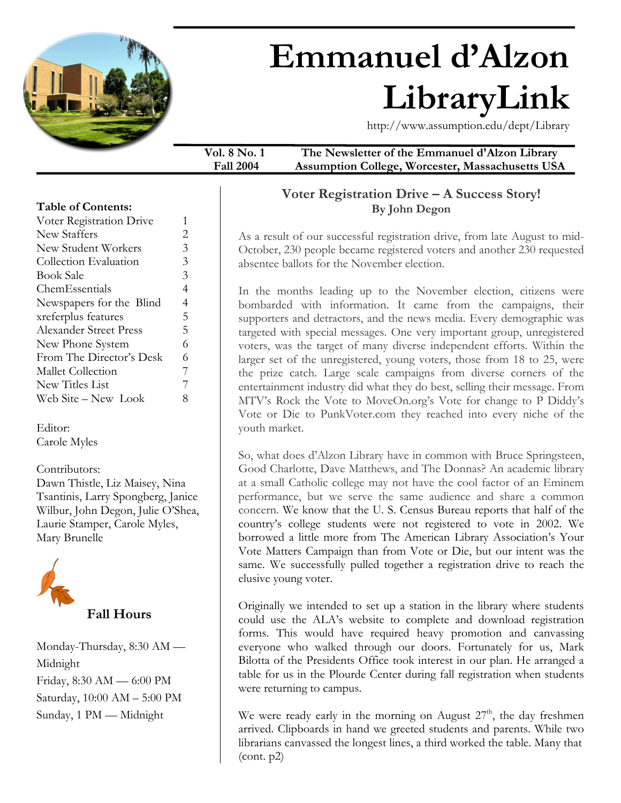

# **Emmanuel d'Alzon LibraryLink**

http://www.assumption.edu/dept/Library

**Vol. 8 No. 1 The Newsletter of the Emmanuel d'Alzon Library Fall 2004 Assumption College, Worcester, Massachusetts USA** 

### **Voter Registration Drive – A Success Story! By John Degon**

As a result of our successful registration drive, from late August to mid-October, 230 people became registered voters and another 230 requested absentee ballots for the November election.

In the months leading up to the November election, citizens were bombarded with information. It came from the campaigns, their supporters and detractors, and the news media. Every demographic was targeted with special messages. One very important group, unregistered voters, was the target of many diverse independent efforts. Within the larger set of the unregistered, young voters, those from 18 to 25, were the prize catch. Large scale campaigns from diverse corners of the entertainment industry did what they do best, selling their message. From MTV's Rock the Vote to MoveOn.org's Vote for change to P Diddy's Vote or Die to PunkVoter.com they reached into every niche of the youth market.

So, what does d'Alzon Library have in common with Bruce Springsteen, Good Charlotte, Dave Matthews, and The Donnas? An academic library at a small Catholic college may not have the cool factor of an Eminem performance, but we serve the same audience and share a common concern. We know that the U. S. Census Bureau reports that half of the country's college students were not registered to vote in 2002. We borrowed a little more from The American Library Association's Your Vote Matters Campaign than from Vote or Die, but our intent was the same. We successfully pulled together a registration drive to reach the elusive young voter.

Originally we intended to set up a station in the library where students could use the ALA's website to complete and download registration forms. This would have required heavy promotion and canvassing everyone who walked through our doors. Fortunately for us, Mark Bilotta of the Presidents Office took interest in our plan. He arranged a table for us in the Plourde Center during fall registration when students were returning to campus.

We were ready early in the morning on August  $27<sup>th</sup>$ , the day freshmen arrived. Clipboards in hand we greeted students and parents. While two librarians canvassed the longest lines, a third worked the table. Many that (cont. p2)

### **Table of Contents:**

| Voter Registration Drive      |   |
|-------------------------------|---|
| New Staffers                  | 2 |
| New Student Workers           | 3 |
| Collection Evaluation         | 3 |
| <b>Book Sale</b>              | 3 |
| ChemEssentials                | 4 |
| Newspapers for the Blind      | 4 |
| xreferplus features           | 5 |
| <b>Alexander Street Press</b> | 5 |
| New Phone System              | 6 |
| From The Director's Desk      | 6 |
| Mallet Collection             | 7 |
| New Titles List               | 7 |
| Web Site – New Look           |   |
|                               |   |

Editor: Carole Myles

Contributors: Dawn Thistle, Liz Maisey, Nina Tsantinis, Larry Spongberg, Janice Wilbur, John Degon, Julie O'Shea, Laurie Stamper, Carole Myles, Mary Brunelle



Monday-Thursday, 8:30 AM — Midnight Friday, 8:30 AM — 6:00 PM Saturday, 10:00 AM – 5:00 PM Sunday, 1 PM — Midnight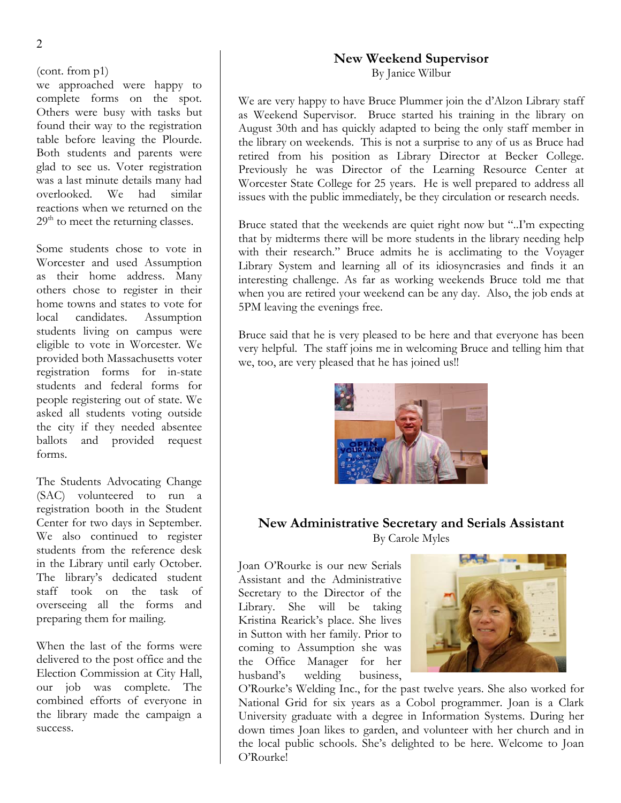#### (cont. from p1)

we approached were happy to complete forms on the spot. Others were busy with tasks but found their way to the registration table before leaving the Plourde. Both students and parents were glad to see us. Voter registration was a last minute details many had overlooked. We had similar reactions when we returned on the  $29<sup>th</sup>$  to meet the returning classes.

Some students chose to vote in Worcester and used Assumption as their home address. Many others chose to register in their home towns and states to vote for local candidates. Assumption students living on campus were eligible to vote in Worcester. We provided both Massachusetts voter registration forms for in-state students and federal forms for people registering out of state. We asked all students voting outside the city if they needed absentee ballots and provided request forms.

The Students Advocating Change (SAC) volunteered to run a registration booth in the Student Center for two days in September. We also continued to register students from the reference desk in the Library until early October. The library's dedicated student staff took on the task of overseeing all the forms and preparing them for mailing.

When the last of the forms were delivered to the post office and the Election Commission at City Hall, our job was complete. The combined efforts of everyone in the library made the campaign a success.

## **New Weekend Supervisor**

By Janice Wilbur

We are very happy to have Bruce Plummer join the d'Alzon Library staff as Weekend Supervisor. Bruce started his training in the library on August 30th and has quickly adapted to being the only staff member in the library on weekends. This is not a surprise to any of us as Bruce had retired from his position as Library Director at Becker College. Previously he was Director of the Learning Resource Center at Worcester State College for 25 years. He is well prepared to address all issues with the public immediately, be they circulation or research needs.

Bruce stated that the weekends are quiet right now but "..I'm expecting that by midterms there will be more students in the library needing help with their research." Bruce admits he is acclimating to the Voyager Library System and learning all of its idiosyncrasies and finds it an interesting challenge. As far as working weekends Bruce told me that when you are retired your weekend can be any day. Also, the job ends at 5PM leaving the evenings free.

Bruce said that he is very pleased to be here and that everyone has been very helpful. The staff joins me in welcoming Bruce and telling him that we, too, are very pleased that he has joined us!!



### **New Administrative Secretary and Serials Assistant**  By Carole Myles

Joan O'Rourke is our new Serials Assistant and the Administrative Secretary to the Director of the Library. She will be taking Kristina Rearick's place. She lives in Sutton with her family. Prior to coming to Assumption she was the Office Manager for her husband's welding business,



O'Rourke's Welding Inc., for the past twelve years. She also worked for National Grid for six years as a Cobol programmer. Joan is a Clark University graduate with a degree in Information Systems. During her down times Joan likes to garden, and volunteer with her church and in the local public schools. She's delighted to be here. Welcome to Joan O'Rourke!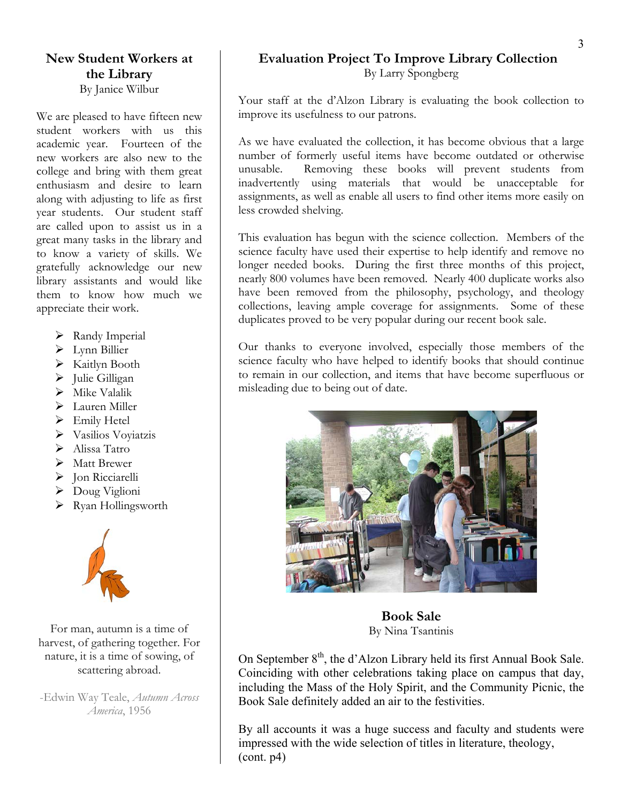### **New Student Workers at the Library**  By Janice Wilbur

student workers with us this academic year. Fourteen of the new workers are also new to the college and bring with them great enthusiasm and desire to learn along with adjusting to life as first year students. Our student staff are called upon to assist us in a great many tasks in the library and to know a variety of skills. We gratefully acknowledge our new library assistants and would like them to know how much we appreciate their work.

- $\triangleright$  Randy Imperial
- ¾ Lynn Billier
- ¾ Kaitlyn Booth
- $\blacktriangleright$  Julie Gilligan
- $\triangleright$  Mike Valalik
- > Lauren Miller
- $\triangleright$  Emily Hetel
- ¾ Vasilios Voyiatzis
- $\blacktriangleright$  Alissa Tatro
- ¾ Matt Brewer
- > Jon Ricciarelli
- ¾ Doug Viglioni
- $\triangleright$  Ryan Hollingsworth



harvest, of gathering together. For nature, it is a time of sowing, of scattering abroad.

*America*, 1956

### **Evaluation Project To Improve Library Collection**  By Larry Spongberg

Your staff at the d'Alzon Library is evaluating the book collection to We are pleased to have fifteen new | improve its usefulness to our patrons.

> As we have evaluated the collection, it has become obvious that a large number of formerly useful items have become outdated or otherwise unusable. Removing these books will prevent students from inadvertently using materials that would be unacceptable for assignments, as well as enable all users to find other items more easily on less crowded shelving.

> This evaluation has begun with the science collection. Members of the science faculty have used their expertise to help identify and remove no longer needed books. During the first three months of this project, nearly 800 volumes have been removed. Nearly 400 duplicate works also have been removed from the philosophy, psychology, and theology collections, leaving ample coverage for assignments. Some of these duplicates proved to be very popular during our recent book sale.

> Our thanks to everyone involved, especially those members of the science faculty who have helped to identify books that should continue to remain in our collection, and items that have become superfluous or misleading due to being out of date.



For man, autumn is a time of **Book Sale** By Nina Tsantinis

On September  $8<sup>th</sup>$ , the d'Alzon Library held its first Annual Book Sale. Coinciding with other celebrations taking place on campus that day, including the Mass of the Holy Spirit, and the Community Picnic, the -Edwin Way Teale, *Autumn Across* **Book Sale definitely added an air to the festivities.** 

> By all accounts it was a huge success and faculty and students were impressed with the wide selection of titles in literature, theology,  $(cont. p4)$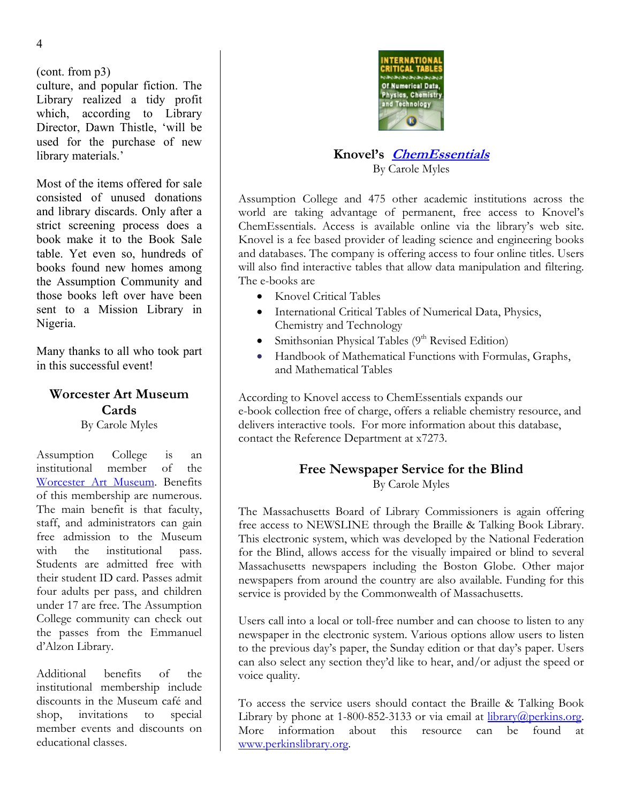(cont. from p3)

culture, and popular fiction. The Library realized a tidy profit which, according to Library Director, Dawn Thistle, 'will be used for the purchase of new library materials.' **Knovel's [ChemEssentials](http://www.info.knovel.com/freechem)**

Most of the items offered for sale consisted of unused donations and library discards. Only after a strict screening process does a book make it to the Book Sale table. Yet even so, hundreds of books found new homes among the Assumption Community and those books left over have been sent to a Mission Library in Nigeria.

# **Worcester Art Museum Cards**

By Carole Myles

Assumption College is an institutional member of the [Worcester Art Museum](http://www.worcesterart.org/index.html). Benefits of this membership are numerous. The main benefit is that faculty, staff, and administrators can gain free admission to the Museum with the institutional pass. Students are admitted free with their student ID card. Passes admit four adults per pass, and children under 17 are free. The Assumption College community can check out the passes from the Emmanuel d'Alzon Library.

Additional benefits of the voice quality. institutional membership include discounts in the Museum café and shop, invitations to special member events and discounts on educational classes.



# By Carole Myles

Assumption College and 475 other academic institutions across the world are taking advantage of permanent, free access to Knovel's ChemEssentials. Access is available online via the library's web site. Knovel is a fee based provider of leading science and engineering books and databases. The company is offering access to four online titles. Users will also find interactive tables that allow data manipulation and filtering. The e-books are

- Knovel Critical Tables
- International Critical Tables of Numerical Data, Physics, Chemistry and Technology
- **•** Smithsonian Physical Tables ( $9<sup>th</sup>$  Revised Edition) Many thanks to all who took part
- Many thanks to all who took part <br>in this successful event!<br> $\frac{1M}{d}$   $\frac{1}{2}$   $\frac{1}{2}$   $\frac{1}{2}$   $\frac{1}{2}$   $\frac{1}{2}$   $\frac{1}{2}$   $\frac{1}{2}$   $\frac{1}{2}$   $\frac{1}{2}$   $\frac{1}{2}$   $\frac{1}{2}$   $\frac{1}{2}$   $\frac{1}{2}$   $\frac{1}{2}$   $\frac{1}{2}$  and Mathematical Tables

According to Knovel access to ChemEssentials expands our e-book collection free of charge, offers a reliable chemistry resource, and delivers interactive tools. For more information about this database, contact the Reference Department at x7273.

### **Free Newspaper Service for the Blind**  By Carole Myles

The Massachusetts Board of Library Commissioners is again offering free access to NEWSLINE through the Braille & Talking Book Library. This electronic system, which was developed by the National Federation for the Blind, allows access for the visually impaired or blind to several Massachusetts newspapers including the Boston Globe. Other major newspapers from around the country are also available. Funding for this service is provided by the Commonwealth of Massachusetts.

Users call into a local or toll-free number and can choose to listen to any newspaper in the electronic system. Various options allow users to listen to the previous day's paper, the Sunday edition or that day's paper. Users can also select any section they'd like to hear, and/or adjust the speed or

To access the service users should contact the Braille & Talking Book Library by phone at 1-800-852-3133 or via email at  $\frac{1}{10}$  [library@perkins.org](mailto:library@perkins.org). More information about this resource can be found at [www.perkinslibrary.org](http://www.perkinslibrary.org/).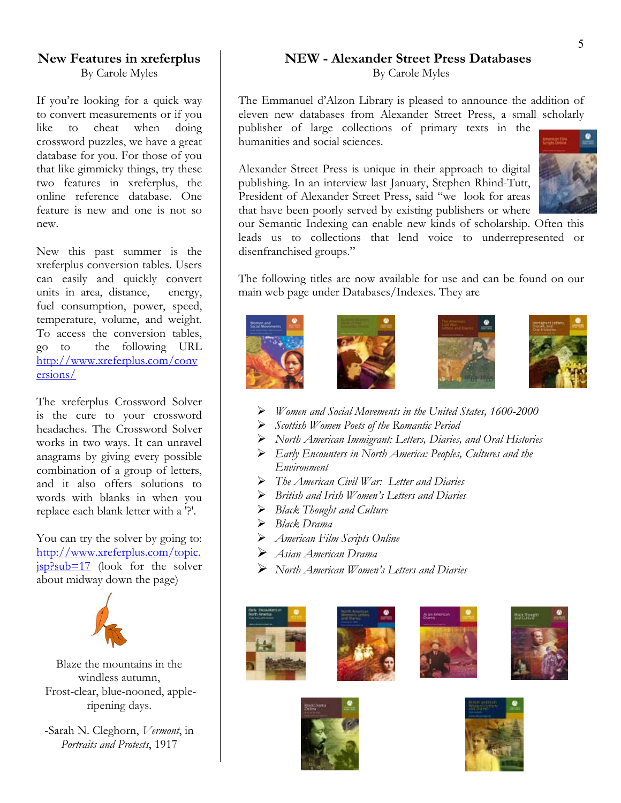### **New Features in xreferplus**  By Carole Myles

If you're looking for a quick way to convert measurements or if you like to cheat when doing crossword puzzles, we have a great database for you. For those of you that like gimmicky things, try these two features in xreferplus, the online reference database. One feature is new and one is not so new.

New this past summer is the xreferplus conversion tables. Users can easily and quickly convert units in area, distance, energy, fuel consumption, power, speed, temperature, volume, and weight. To access the conversion tables, go to the following URL [http://www.xreferplus.com/conv](http://www.xreferplus.com/conversions/) [ersions/](http://www.xreferplus.com/conversions/)

The xreferplus Crossword Solver is the cure to your crossword headaches. The Crossword Solver works in two ways. It can unravel anagrams by giving every possible combination of a group of letters, and it also offers solutions to words with blanks in when you replace each blank letter with a '?'.

You can try the solver by going to: [http://www.xreferplus.com/topic.](http://www.xreferplus.com/topic.jsp?sub=17)  $ipsub=17$  (look for the solver about midway down the page)



Blaze the mountains in the windless autumn, Frost-clear, blue-nooned, appleripening days.

-Sarah N. Cleghorn, *Vermont*, in *Portraits and Protests*, 1917

### **NEW - Alexander Street Press Databases**  By Carole Myles

The Emmanuel d'Alzon Library is pleased to announce the addition of eleven new databases from Alexander Street Press, a small scholarly publisher of large collections of primary texts in the humanities and social sciences.

Alexander Street Press is unique in their approach to digital publishing. In an interview last January, Stephen Rhind-Tutt, President of Alexander Street Press, said "we look for areas that have been poorly served by existing publishers or where



our Semantic Indexing can enable new kinds of scholarship. Often this leads us to collections that lend voice to underrepresented or disenfranchised groups."

The following titles are now available for use and can be found on our main web page under Databases/Indexes. They are









- ¾ *Women and Social Movements in the United States, 1600-2000*
- ¾ *Scottish Women Poets of the Romantic Period*
- ¾ *North American Immigrant: Letters, Diaries, and Oral Histories*
- ¾ *Early Encounters in North America: Peoples, Cultures and the Environment*
- ¾ *The American Civil War: Letter and Diaries*
- ¾ *British and Irish Women's Letters and Diaries*
- ¾ *Black Thought and Culture*
- ¾ *Black Drama*
- ¾ *American Film Scripts Online*
- ¾ *Asian American Drama*
- ¾ *North American Women's Letters and Diaries*











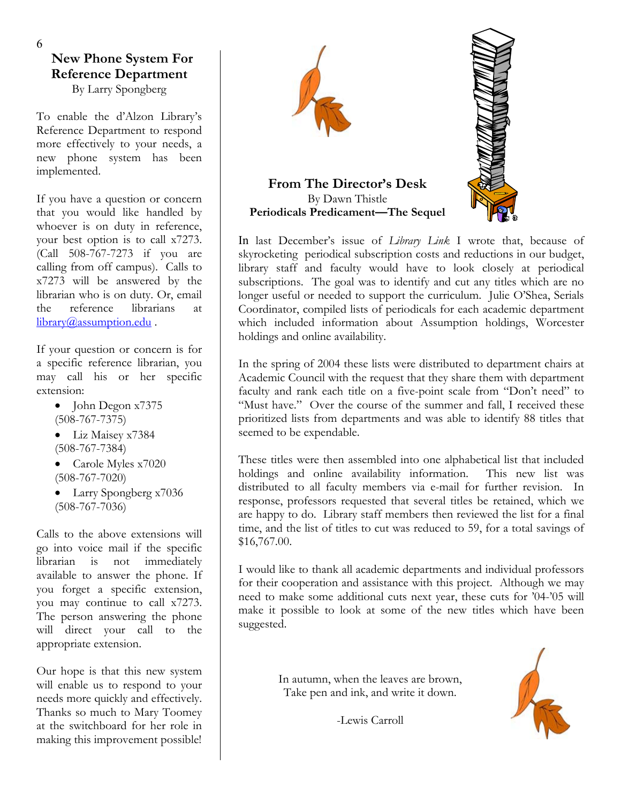# **New Phone System For Reference Department**

By Larry Spongberg

To enable the d'Alzon Library's Reference Department to respond more effectively to your needs, a new phone system has been implemented.

If you have a question or concern that you would like handled by whoever is on duty in reference, your best option is to call x7273. (Call 508-767-7273 if you are calling from off campus). Calls to x7273 will be answered by the librarian who is on duty. Or, email the reference librarians at [library@assumption.edu](mailto:library@assumption.edu).

If your question or concern is for a specific reference librarian, you may call his or her specific extension:

- John Degon x7375 (508-767-7375)
- Liz Maisey x7384 (508-767-7384)
- Carole Myles x7020 (508-767-7020)
- Larry Spongberg x7036 (508-767-7036)

Calls to the above extensions will go into voice mail if the specific librarian is not immediately available to answer the phone. If you forget a specific extension, you may continue to call x7273. The person answering the phone will direct your call to the appropriate extension.

Our hope is that this new system will enable us to respond to your needs more quickly and effectively. Thanks so much to Mary Toomey at the switchboard for her role in making this improvement possible!



In last December's issue of *Library Link* I wrote that, because of skyrocketing periodical subscription costs and reductions in our budget, library staff and faculty would have to look closely at periodical subscriptions. The goal was to identify and cut any titles which are no longer useful or needed to support the curriculum. Julie O'Shea, Serials Coordinator, compiled lists of periodicals for each academic department which included information about Assumption holdings, Worcester holdings and online availability.

In the spring of 2004 these lists were distributed to department chairs at Academic Council with the request that they share them with department faculty and rank each title on a five-point scale from "Don't need" to "Must have." Over the course of the summer and fall, I received these prioritized lists from departments and was able to identify 88 titles that seemed to be expendable.

These titles were then assembled into one alphabetical list that included holdings and online availability information. This new list was distributed to all faculty members via e-mail for further revision. In response, professors requested that several titles be retained, which we are happy to do. Library staff members then reviewed the list for a final time, and the list of titles to cut was reduced to 59, for a total savings of \$16,767.00.

I would like to thank all academic departments and individual professors for their cooperation and assistance with this project. Although we may need to make some additional cuts next year, these cuts for '04-'05 will make it possible to look at some of the new titles which have been suggested.

> In autumn, when the leaves are brown, Take pen and ink, and write it down.

> > -Lewis Carroll

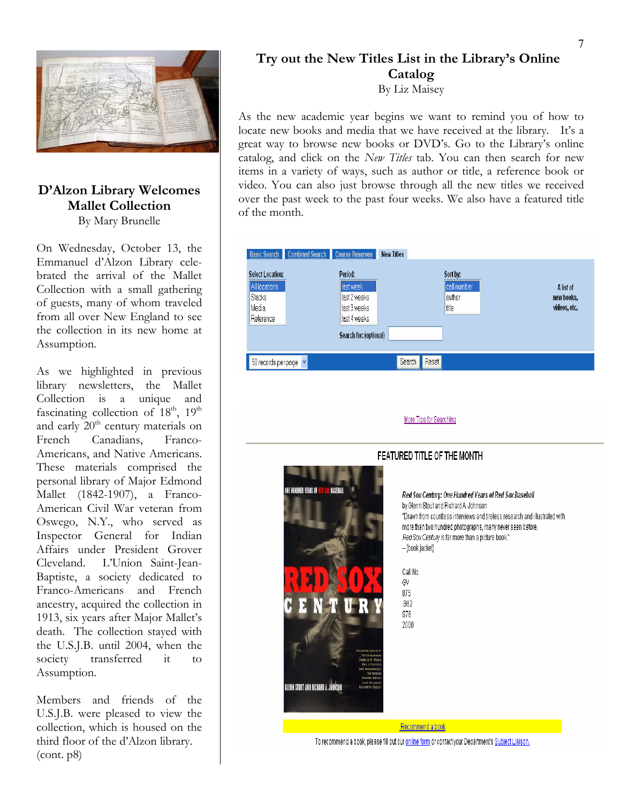

### **D'Alzon Library Welcomes Mallet Collection**  By Mary Brunelle

On Wednesday, October 13, the Emmanuel d'Alzon Library celebrated the arrival of the Mallet Collection with a small gathering of guests, many of whom traveled from all over New England to see the collection in its new home at Assumption.

As we highlighted in previous library newsletters, the Mallet Collection is a unique and fascinating collection of  $18<sup>th</sup>$ ,  $19<sup>th</sup>$ and early  $20<sup>th</sup>$  century materials on French Canadians, Franco-Americans, and Native Americans. These materials comprised the personal library of Major Edmond Mallet (1842-1907), a Franco-American Civil War veteran from Oswego, N.Y., who served as Inspector General for Indian Affairs under President Grover Cleveland. L'Union Saint-Jean-Baptiste, a society dedicated to Franco-Americans and French ancestry, acquired the collection in 1913, six years after Major Mallet's death. The collection stayed with the U.S.J.B. until 2004, when the society transferred it to Assumption.

Members and friends of the U.S.J.B. were pleased to view the collection, which is housed on the third floor of the d'Alzon library.  $(cont. p8)$ 

# **Try out the New Titles List in the Library's Online Catalog**

By Liz Maisey

As the new academic year begins we want to remind you of how to locate new books and media that we have received at the library. It's a great way to browse new books or DVD's. Go to the Library's online catalog, and click on the *New Titles* tab. You can then search for new items in a variety of ways, such as author or title, a reference book or video. You can also just browse through all the new titles we received over the past week to the past four weeks. We also have a featured title of the month.





To recommend a book, please fill out our online form or contact your Department's Subject Liaison.